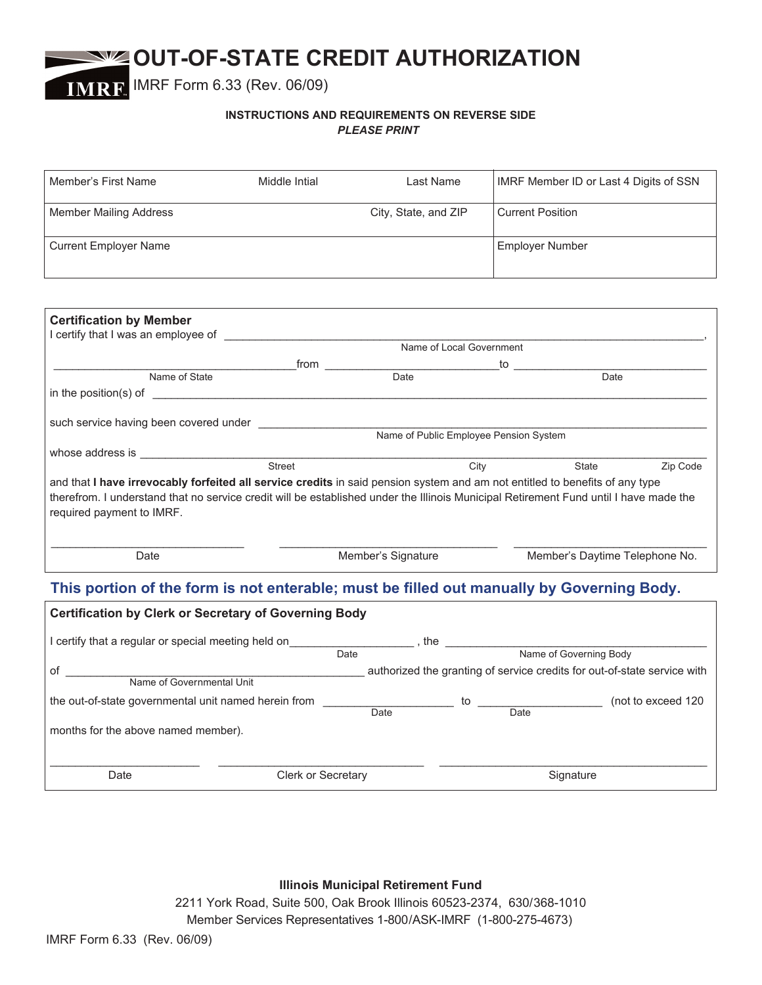# **OUT-OF-STATE CREDIT AUTHORIZATION**

IMRF Form 6.33 (Rev. 06/09)

## **INSTRUCTIONS AND REQUIREMENTS ON REVERSE SIDE** *PLEASE PRINT*

| Member's First Name                                                                                                                                                                                                                                                                                | Middle Intial                                                                                                                                                                                                                  | Last Name                                       | IMRF Member ID or Last 4 Digits of SSN |          |  |
|----------------------------------------------------------------------------------------------------------------------------------------------------------------------------------------------------------------------------------------------------------------------------------------------------|--------------------------------------------------------------------------------------------------------------------------------------------------------------------------------------------------------------------------------|-------------------------------------------------|----------------------------------------|----------|--|
| <b>Member Mailing Address</b>                                                                                                                                                                                                                                                                      |                                                                                                                                                                                                                                | City, State, and ZIP<br><b>Current Position</b> |                                        |          |  |
| <b>Current Employer Name</b>                                                                                                                                                                                                                                                                       |                                                                                                                                                                                                                                |                                                 | <b>Employer Number</b>                 |          |  |
|                                                                                                                                                                                                                                                                                                    |                                                                                                                                                                                                                                |                                                 |                                        |          |  |
| <b>Certification by Member</b>                                                                                                                                                                                                                                                                     |                                                                                                                                                                                                                                |                                                 |                                        |          |  |
|                                                                                                                                                                                                                                                                                                    |                                                                                                                                                                                                                                |                                                 |                                        |          |  |
|                                                                                                                                                                                                                                                                                                    |                                                                                                                                                                                                                                |                                                 |                                        |          |  |
|                                                                                                                                                                                                                                                                                                    | from https://www.frombook.com/html bate distributed bate distributed bate bate bate bate distributed bate distributed bate distributed bate distributed bate distributed bate distributed bate distributed bate distributed ba |                                                 |                                        |          |  |
| Name of State                                                                                                                                                                                                                                                                                      |                                                                                                                                                                                                                                |                                                 |                                        |          |  |
| in the position(s) of $\overline{\phantom{a}}$                                                                                                                                                                                                                                                     |                                                                                                                                                                                                                                |                                                 |                                        |          |  |
|                                                                                                                                                                                                                                                                                                    |                                                                                                                                                                                                                                |                                                 |                                        |          |  |
| such service having been covered under<br>Name of Public Employee Pension System                                                                                                                                                                                                                   |                                                                                                                                                                                                                                |                                                 |                                        |          |  |
|                                                                                                                                                                                                                                                                                                    |                                                                                                                                                                                                                                |                                                 |                                        |          |  |
|                                                                                                                                                                                                                                                                                                    |                                                                                                                                                                                                                                |                                                 |                                        |          |  |
|                                                                                                                                                                                                                                                                                                    | Street                                                                                                                                                                                                                         |                                                 | City<br><b>State State</b>             | Zip Code |  |
| and that I have irrevocably forfeited all service credits in said pension system and am not entitled to benefits of any type<br>therefrom. I understand that no service credit will be established under the Illinois Municipal Retirement Fund until I have made the<br>required payment to IMRF. |                                                                                                                                                                                                                                |                                                 |                                        |          |  |
| Date                                                                                                                                                                                                                                                                                               |                                                                                                                                                                                                                                | Member's Signature                              |                                        |          |  |
|                                                                                                                                                                                                                                                                                                    |                                                                                                                                                                                                                                |                                                 | Member's Daytime Telephone No.         |          |  |
| This portion of the form is not enterable; must be filled out manually by Governing Body.                                                                                                                                                                                                          |                                                                                                                                                                                                                                |                                                 |                                        |          |  |
| <b>Certification by Clerk or Secretary of Governing Body</b>                                                                                                                                                                                                                                       |                                                                                                                                                                                                                                |                                                 |                                        |          |  |
|                                                                                                                                                                                                                                                                                                    |                                                                                                                                                                                                                                |                                                 |                                        |          |  |
|                                                                                                                                                                                                                                                                                                    |                                                                                                                                                                                                                                |                                                 |                                        |          |  |
|                                                                                                                                                                                                                                                                                                    |                                                                                                                                                                                                                                |                                                 |                                        |          |  |
|                                                                                                                                                                                                                                                                                                    |                                                                                                                                                                                                                                |                                                 |                                        |          |  |
| the out-of-state governmental unit named herein from<br>Date by Date Date Date Date (not to exceed 120                                                                                                                                                                                             |                                                                                                                                                                                                                                |                                                 |                                        |          |  |
| months for the above named member).                                                                                                                                                                                                                                                                |                                                                                                                                                                                                                                |                                                 |                                        |          |  |

Date **Clerk or Secretary Clerk or Secretary Clerk or Signature** Signature

**Illinois Municipal Retirement Fund**

 $\_$  , and the set of the set of the set of the set of the set of the set of the set of the set of the set of the set of the set of the set of the set of the set of the set of the set of the set of the set of the set of th

2211 York Road, Suite 500, Oak Brook Illinois 60523-2374, 630/368-1010 Member Services Representatives 1-800/ASK-IMRF (1-800-275-4673)